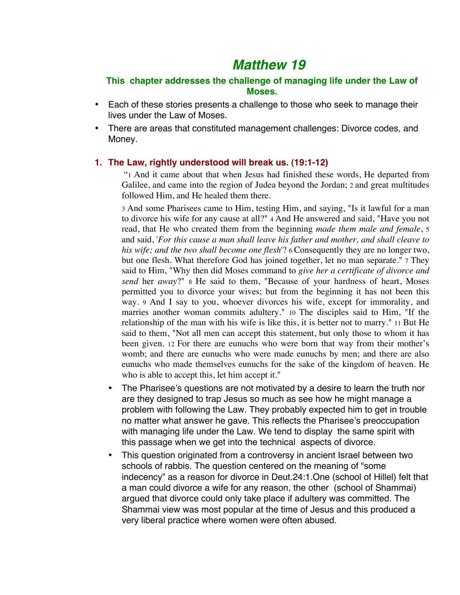# *Matthew 19*

# **This chapter addresses the challenge of managing life under the Law of Moses.**

- Each of these stories presents a challenge to those who seek to manage their lives under the Law of Moses.
- There are areas that constituted management challenges: Divorce codes, and Money.

## **1. The Law, rightly understood will break us. (19:1-12)**

 "1 And it came about that when Jesus had finished these words, He departed from Galilee, and came into the region of Judea beyond the Jordan; 2 and great multitudes followed Him, and He healed them there.

3 And some Pharisees came to Him, testing Him, and saying, "Is it lawful for a man to divorce his wife for any cause at all?" 4 And He answered and said, "Have you not read, that He who created them from the beginning *made them male and female*, 5 and said, '*For this cause a man shall leave his father and mother, and shall cleave to his wife; and the two shall become one flesh*'? 6 Consequently they are no longer two, but one flesh. What therefore God has joined together, let no man separate." 7 They said to Him, "Why then did Moses command to *give her a certificate of divorce and send* her *away*?" 8 He said to them, "Because of your hardness of heart, Moses permitted you to divorce your wives; but from the beginning it has not been this way. 9 And I say to you, whoever divorces his wife, except for immorality, and marries another woman commits adultery." 10 The disciples said to Him, "If the relationship of the man with his wife is like this, it is better not to marry." 11 But He said to them, "Not all men can accept this statement, but only those to whom it has been given. 12 For there are eunuchs who were born that way from their mother's womb; and there are eunuchs who were made eunuchs by men; and there are also eunuchs who made themselves eunuchs for the sake of the kingdom of heaven. He who is able to accept this, let him accept it."

- The Pharisee's questions are not motivated by a desire to learn the truth nor are they designed to trap Jesus so much as see how he might manage a problem with following the Law. They probably expected him to get in trouble no matter what answer he gave. This reflects the Pharisee's preoccupation with managing life under the Law. We tend to display the same spirit with this passage when we get into the technical aspects of divorce.
- This question originated from a controversy in ancient Israel between two schools of rabbis. The question centered on the meaning of "some indecency" as a reason for divorce in Deut.24:1.One (school of Hillel) felt that a man could divorce a wife for any reason, the other (school of Shammai) argued that divorce could only take place if adultery was committed. The Shammai view was most popular at the time of Jesus and this produced a very liberal practice where women were often abused.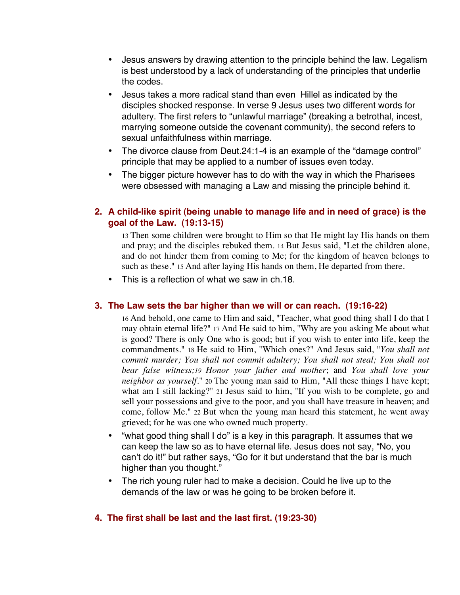- Jesus answers by drawing attention to the principle behind the law. Legalism is best understood by a lack of understanding of the principles that underlie the codes.
- Jesus takes a more radical stand than even Hillel as indicated by the disciples shocked response. In verse 9 Jesus uses two different words for adultery. The first refers to "unlawful marriage" (breaking a betrothal, incest, marrying someone outside the covenant community), the second refers to sexual unfaithfulness within marriage.
- The divorce clause from Deut.24:1-4 is an example of the "damage control" principle that may be applied to a number of issues even today.
- The bigger picture however has to do with the way in which the Pharisees were obsessed with managing a Law and missing the principle behind it.

# **2. A child-like spirit (being unable to manage life and in need of grace) is the goal of the Law. (19:13-15)**

13 Then some children were brought to Him so that He might lay His hands on them and pray; and the disciples rebuked them. 14 But Jesus said, "Let the children alone, and do not hinder them from coming to Me; for the kingdom of heaven belongs to such as these." 15 And after laying His hands on them, He departed from there.

This is a reflection of what we saw in ch.18.

#### **3. The Law sets the bar higher than we will or can reach. (19:16-22)**

16 And behold, one came to Him and said, "Teacher, what good thing shall I do that I may obtain eternal life?" 17 And He said to him, "Why are you asking Me about what is good? There is only One who is good; but if you wish to enter into life, keep the commandments." 18 He said to Him, "Which ones?" And Jesus said, "*You shall not commit murder; You shall not commit adultery; You shall not steal; You shall not bear false witness;19 Honor your father and mother*; and *You shall love your neighbor as yourself.*" 20 The young man said to Him, "All these things I have kept; what am I still lacking?" 21 Jesus said to him, "If you wish to be complete, go and sell your possessions and give to the poor, and you shall have treasure in heaven; and come, follow Me." 22 But when the young man heard this statement, he went away grieved; for he was one who owned much property.

- "what good thing shall I do" is a key in this paragraph. It assumes that we can keep the law so as to have eternal life. Jesus does not say, "No, you can't do it!" but rather says, "Go for it but understand that the bar is much higher than you thought."
- The rich young ruler had to make a decision. Could he live up to the demands of the law or was he going to be broken before it.

#### **4. The first shall be last and the last first. (19:23-30)**